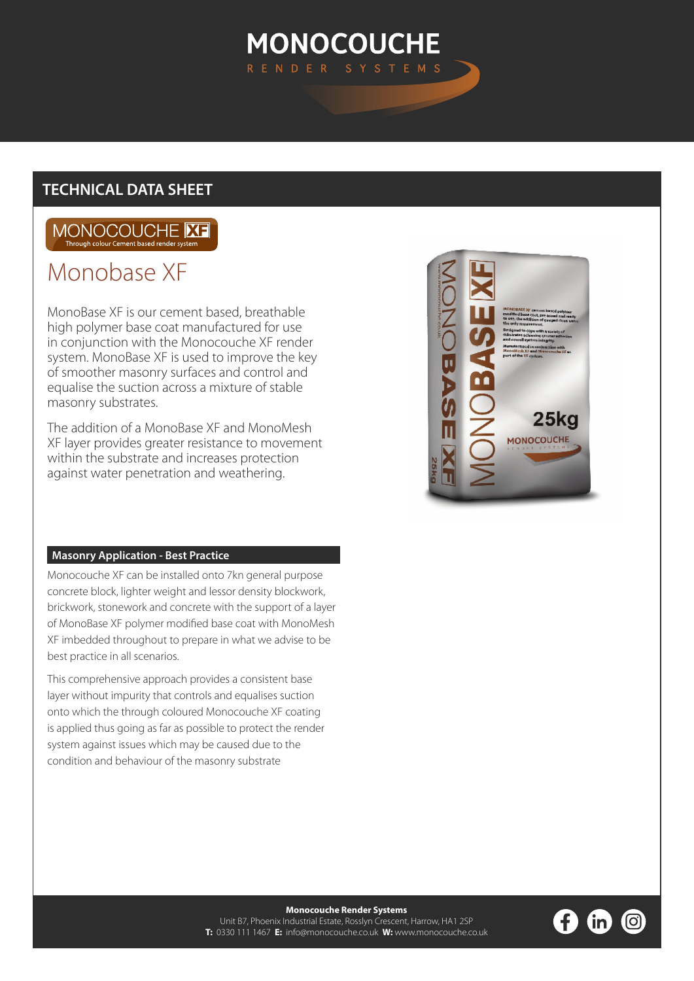# **MONOCOUCHE** RENDER SYST

# **TECHNICAL DATA SHEET**

# MONOCOUCHE **XE** Through colour Cement based re

# Monobase XF

MonoBase XF is our cement based, breathable high polymer base coat manufactured for use in conjunction with the Monocouche XF render system. MonoBase XF is used to improve the key of smoother masonry surfaces and control and equalise the suction across a mixture of stable masonry substrates.

The addition of a MonoBase XF and MonoMesh XF layer provides greater resistance to movement within the substrate and increases protection against water penetration and weathering.

# **Masonry Application - Best Practice**

Monocouche XF can be installed onto 7kn general purpose concrete block, lighter weight and lessor density blockwork, brickwork, stonework and concrete with the support of a layer of MonoBase XF polymer modified base coat with MonoMesh XF imbedded throughout to prepare in what we advise to be best practice in all scenarios.

This comprehensive approach provides a consistent base layer without impurity that controls and equalises suction onto which the through coloured Monocouche XF coating is applied thus going as far as possible to protect the render system against issues which may be caused due to the condition and behaviour of the masonry substrate



**Monocouche Render Systems**  Unit B7, Phoenix Industrial Estate, Rosslyn Crescent, Harrow, HA1 2SP **T:** 0330 111 1467 **E:** info@monocouche.co.uk **W:** www.monocouche.co.uk